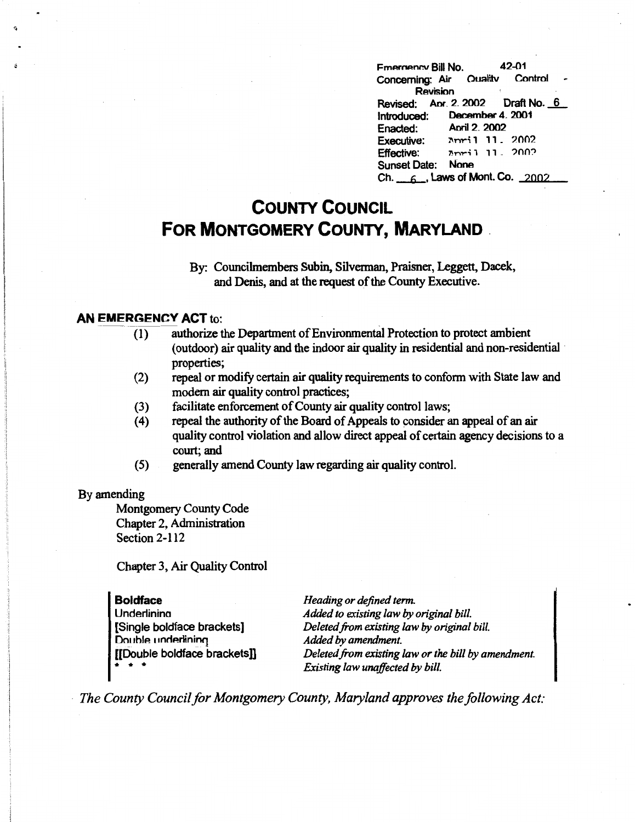Fmernency Bill No. 42-01<br>Concerning: Air Ouality Control Concerning: Air Ouality Revision Revised: Apr. 2. 2002 Draft No. 6 Introduced: Decamber 4\_ 2001 Enacted: Aoril2\_2002 Executive:  $\lambda$ mri 1 11 . 2002  $Effective:$   $Inri1 11.2002$ Sunset Date: None Ch.  $\epsilon$ , Laws of Mont. Co. 2002

# **COUNTY COUNCIL FOR MONTGOMERY COUNTY, MARYLAND** .

By: Councilmembers Subin, Silvennan, Praisner, Leggett, Dacek, and Denis, and at the request of the County Executive.

#### **AN EMERGENCY ACT** to:

- (1) authorize the Department of Environmental Protection to protect ambient ( outdoor) air quality and the indoor air quality in residential and non-residential · properties;
- (2) repeal or modify certain air quality requirements to confonn with State law and modem air quality control practices;
- (3) facilitate enforcement of County air quality control laws;
- ( 4) repeal the authority of the Board of Appeals to consider an appeal of an air quality control violation and allow direct appeal of certain agency decisions to a court; and
- (5) generally amend County law regarding air quality control.

#### By amending

Montgomery County Code Chapter 2, Administration Section 2-112

Chapter 3, Air Quality Control

#### **Boldface**

**Underlinina** [Single boldface brackets] Double underlining [[Double boldface brackets]] • • •

*Heading or defined term. Added to existing law by original bill. Deleted from existing law by original bill. Added by amendment. Deleted.from existing law or the bill by amendment. Existing law unaffected by bill.* 

· *The County Council for Montgomery County, Maryland approves the following Act:*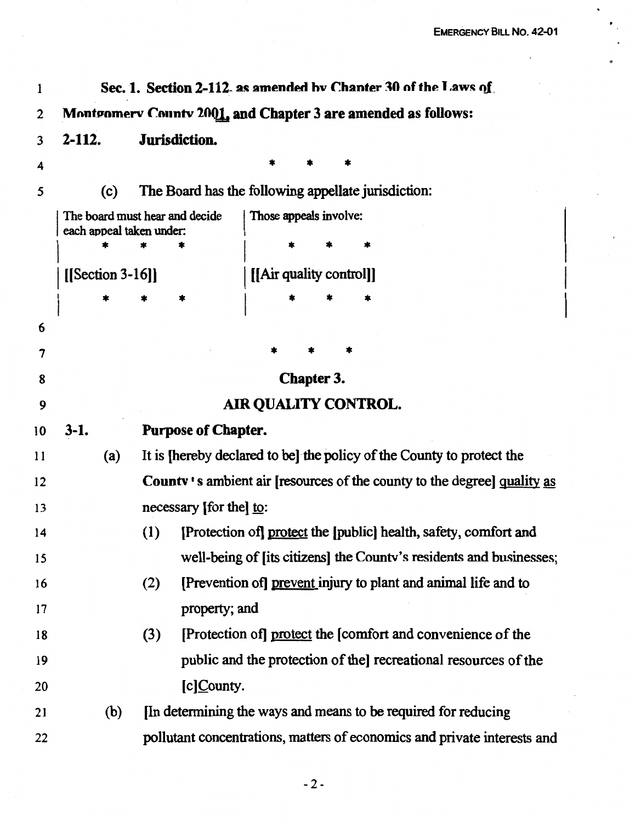$\bullet$ 

| 1  | Sec. 1. Section 2-112 as amended by Chanter 30 of the Laws of |                                                                                |  |  |  |  |  |
|----|---------------------------------------------------------------|--------------------------------------------------------------------------------|--|--|--|--|--|
| 2  | Montgomerv County 2001, and Chapter 3 are amended as follows: |                                                                                |  |  |  |  |  |
| 3  | 2-112.                                                        | Jurisdiction.                                                                  |  |  |  |  |  |
| 4  |                                                               |                                                                                |  |  |  |  |  |
| 5  | (c)                                                           | The Board has the following appellate jurisdiction:                            |  |  |  |  |  |
|    | each appeal taken under:                                      | The board must hear and decide<br>Those appeals involve:                       |  |  |  |  |  |
|    |                                                               |                                                                                |  |  |  |  |  |
|    | $[$ [Section 3-16]]                                           | [[Air quality control]]                                                        |  |  |  |  |  |
|    |                                                               | *                                                                              |  |  |  |  |  |
| 6  |                                                               |                                                                                |  |  |  |  |  |
| 7  |                                                               |                                                                                |  |  |  |  |  |
| 8  |                                                               | Chapter 3.                                                                     |  |  |  |  |  |
| 9  |                                                               | <b>AIR QUALITY CONTROL.</b>                                                    |  |  |  |  |  |
| 10 | $3-1.$                                                        | <b>Purpose of Chapter.</b>                                                     |  |  |  |  |  |
| 11 | (a)                                                           | It is [hereby declared to be] the policy of the County to protect the          |  |  |  |  |  |
| 12 |                                                               | <b>County's ambient air [resources of the county to the degree] quality as</b> |  |  |  |  |  |
| 13 |                                                               | necessary [for the] to:                                                        |  |  |  |  |  |
| 14 |                                                               | (1)<br>[Protection of] protect the [public] health, safety, comfort and        |  |  |  |  |  |
| 15 |                                                               | well-being of [its citizens] the County's residents and businesses;            |  |  |  |  |  |
| 16 |                                                               | [Prevention of] prevent injury to plant and animal life and to<br>(2)          |  |  |  |  |  |
| 17 |                                                               | property; and                                                                  |  |  |  |  |  |
| 18 |                                                               | (3)<br>[Protection of] protect the [comfort and convenience of the             |  |  |  |  |  |
| 19 |                                                               | public and the protection of the recreational resources of the                 |  |  |  |  |  |
| 20 |                                                               | [c]County.                                                                     |  |  |  |  |  |
| 21 | (b)                                                           | In determining the ways and means to be required for reducing                  |  |  |  |  |  |
| 22 |                                                               | pollutant concentrations, matters of economics and private interests and       |  |  |  |  |  |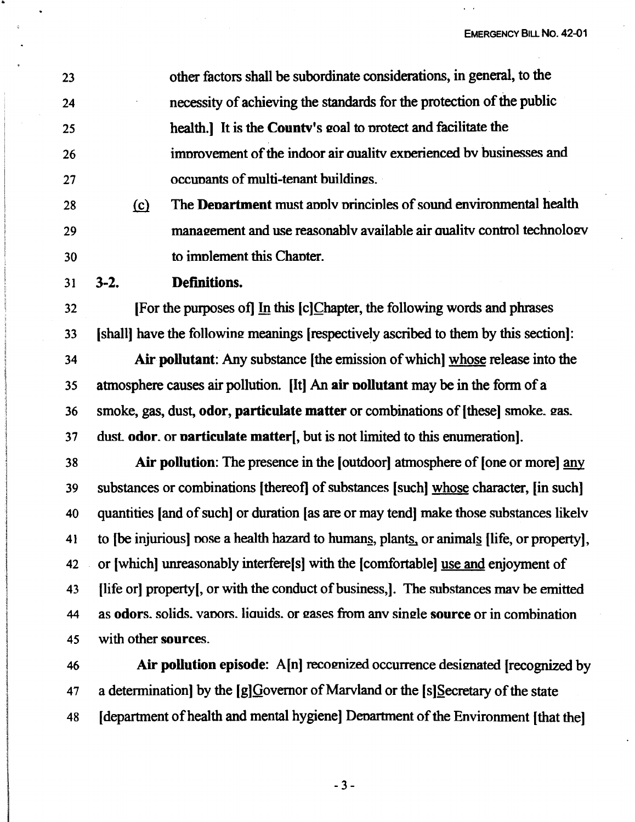23 24 25 26 27 other factors shall be subordinate considerations, in general, to the necessity of achieving the standards for the protection of the public health.] It is the **Countv's** eoal to nrotect and facilitate the imnrovement of the indoor air aualitv exnerienced bv businesses and occunants of multi-tenant buildines.

- 28 ~ The **Denartment** must annlv nrincinles of sound environmental health 29 30 management and use reasonably available air quality control technology to imnlement this Chanter.
- 31 **3-2. Definitions.**

32 (For the purposes of] In this (c]Chapter, the following words and phrases 33 (shall] have the followine meanings (respectively ascribed to them by this section]:

34 **Air pollutant:** Any substance (the emission of which] whose release into the 35 atmosphere causes air pollution. [It] An **air nollutant** may be in the form of a 36 smoke, gas, dust, **odor, particulate matter** or combinations of (these] smoke. eas. 37 dust. **odor.** or **narticulate matter[,** but is not limited to this enumeration].

38 **Air pollution:** The presence in the [outdoor] atmosphere of (one or more] any 39 substances or combinations (thereof] of substances [such] whose character, [in such] 40 quantities [and of such] or duration [as are or may tend) make those substances likelv 41 to (be injurious) nose a health hazard to humans, plants, or animals (life, or property), 42 or (which] unreasonably interfere(s] with the [comfortable] use and enjoyment of 43 [life or] property[, or with the conduct of business,]. The substances may be emitted 44 as **odors**, solids, vapors. liquids, or gases from any single **source** or in combination 45 with other **sources.** 

46 **Air pollution episode:** A(n] recomized occurrence desimated (recognized by 47 a determination] by the  $[g]$ Governor of Marvland or the  $[s]$ Secretary of the state 48 (department of health and mental hygiene] Denartment of the Environment (that the]

- 3 -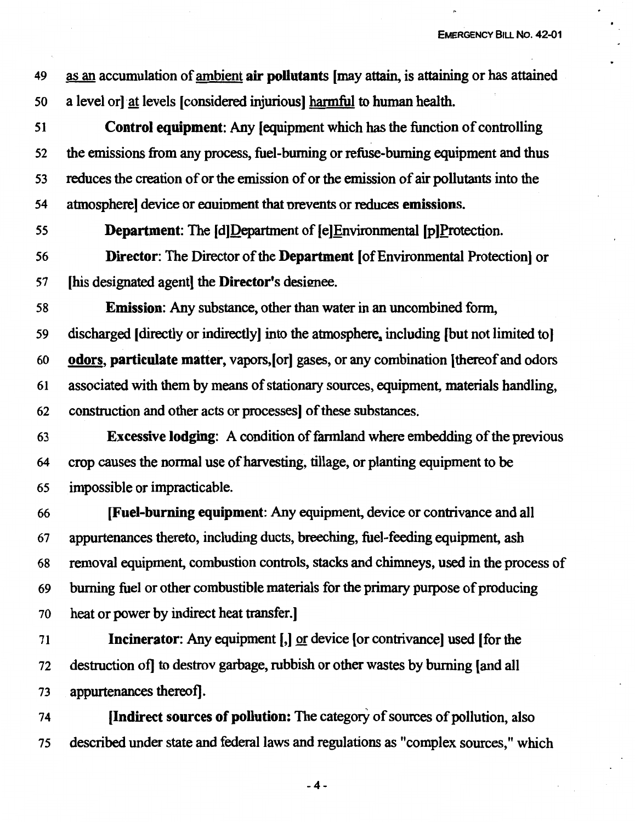EMERGENCY BILL No. 42-01

<sup>49</sup>as an accumulation of ambient **air pollutants** (may attain, is attaining or has attained 50 a level or) at levels (considered injurious) harmful to human health.

51 **Control equipment:** Any (equipment which has the function of controlling 52 the emissions from any process, fuel-burning or refuse-burning equipment and thus 53 reduces the creation of or the emission of or the emission of air pollutants into the 54 atmosphere) device or eouinment that nrevents or reduces **emissions.** 

55 **Department:** The (d)Department of (e)Environmental (p)Protection.

56 **Director:** The Director of the **Department** (of Environmental Protection) or 57 (his designated agent) the **Director's** designee.

58 **Emission:** Any substance, other than water in an uncombined form,

59 discharged (directly or indirectly) into the atmosphere, including (but not limited to) 60 **odors, particulate matter,** vapors,(or) gases, or any combination (thereof and odors 61 associated with them by means of stationary sources, equipment, materials handling,

62 construction and other acts or processes) of these substances.

63 **Excessive lodging:** A condition of fannland where embedding of the previous 64 crop causes the normal use of harvesting, tillage, or planting equipment to be 65 impossible or impracticable.

**[Fuel-burning equipment:** Any equipment, device or contrivance and all appurtenances thereto, including ducts, breeching, fuel-feeding equipment, ash removal equipment, combustion controls, stacks and chimneys, used in the process of 69 burning fuel or other combustible materials for the primary puipose of producing heat or power by indirect heat transfer.)

71 **Incinerator:** Any equipment [,] or device [or contrivance] used [for the 72 destruction of] to destrov garbage, rubbish or other wastes by burning (and all 73 appurtenances thereof].

74 **(Indirect sources of pollution:** The category of sources of pollution, also 75 described under state and federal laws and regulations as "complex sources," which

-4-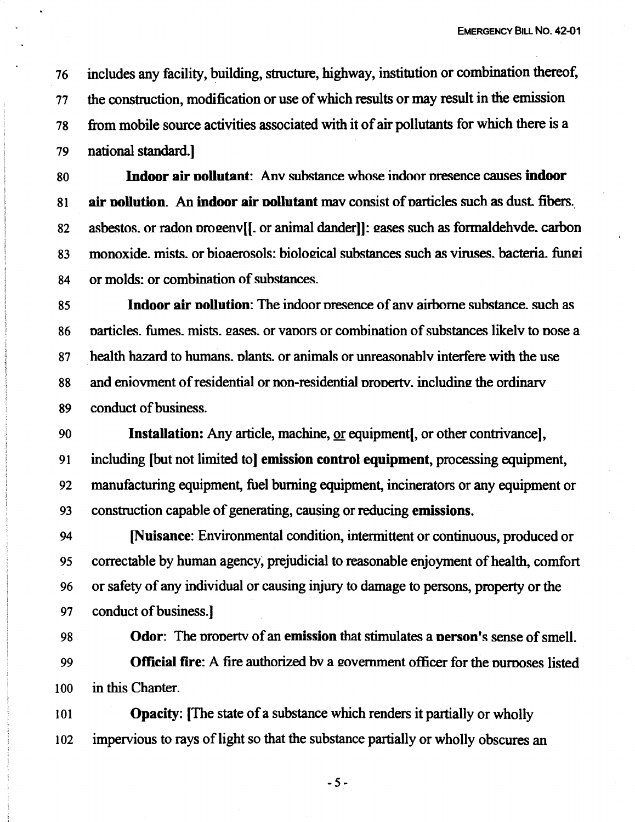76 includes any facility, building, structure, highway, institution or combination thereof, 77 the construction, modification or use of which results or may result in the emission 78 from mobile source activities associated with it of air pollutants for which there is a 79 national standard.)

80 **Indoor air oollutant:** Anv substance whose indoor nresence causes **indoor**  <sup>81</sup>**air oollution.** An **indoor air oollutant** mav consist of narticles such as dust. fibers .. 82 asbestos, or radon progenv[[. or animal dander]]: gases such as formaldehvde. carbon 83 monoxide. mists. or bioaerosols: biological substances such as viruses. bacteria. fungi 84 or molds: or combination of substances.

85 **Indoor air oollution:** The indoor nresence of anv airborne substance. such as 86 particles. fumes, mists, gases, or vapors or combination of substances likely to pose a 87 health hazard to humans, plants, or animals or unreasonably interfere with the use 88 and eniovment of residential or non-residential property, including the ordinary 89 conduct of business.

90 **Installation:** Any article, machine, or equipment, or other contrivance), 91 including (but not limited to] **emission control equipment,** processing equipment, 92 manufacturing equipment, fuel burning equipment, incinerators or any equipment or <sup>93</sup>construction capable of generating, causing or reducing **emissions.** 

94 **[Nuisance:** Environmental condition, intermittent or continuous, produced or 95 correctable by human agency, prejudicial to reasonable enjoyment of health, comfort 96 or safety of any individual or causing injury to damage to persons, property or the 97 conduct of business.]

98 **Odor:** The property of an **emission** that stimulates a **person's** sense of smell. 99 **Official fire:** A fire authorized by a government officer for the nurroses listed 100 in this Chanter.

101 **Opacity:** [The state of a substance which renders it partially or wholly 102 impervious to rays of light so that the substance partially or wholly obscures an

-5-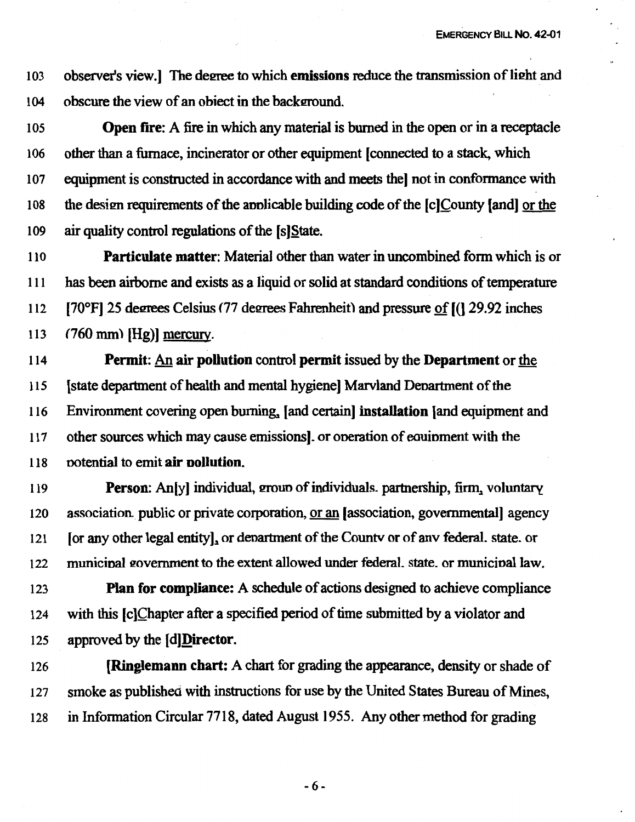103 observer's view.] The degree to which **emissions** reduce the transmission of light and 104 obscure the view of an obiect in the background.

I 05 **Open fire:** A fire in which any material is burned in the open or in a receptacle I 06 other than a furnace, incinerator or other equipment (connected to a stack, which 107 equipment is constructed in accordance with and meets the] not in conformance with 108 the desim requirements of the annlicable building code of the [c)County [and) or the 109 air quality control regulations of the [s)State.

<sup>11</sup>o **Particulate matter:** Material other than water in uncombined form which is or 111 has been airborne and exists as a liquid or solid at standard conditions of temperature 112 [70°F] 25 degrees Celsius (77 degrees Fahrenheit) and pressure of  $[(1 29.92$  inches 113 (760 mm) (Hg)) mercury.

114 **Permit:** An **air pollution** control permit issued by the **Department** or the 115 (state department of health and mental hygiene] Marvland Denartment of the 116 Environment covering open burning, [and certain] **installation** [and equipment and 117 other sources which may cause emissions). or oneration of eouinment with the 118 notential to emit **air oollution.** 

119 **Person:** An[y] individual, group of individuals. partnership, firm, voluntary 120 association .public or private corporation, or an [association, governmental] agency 121 [or any other legal entity], or denartment of the Countv or of any federal. state. or 122 municipal government to the extent allowed under federal, state, or municipal law.

123 **Plan for compliance:** A schedule of actions designed to achieve compliance 124 with this (c)Chapter after a specified period of time submitted by a violator and 125 approved by the **[d]Director.** 

126 **(Ringlemann chart:** A chart for grading the appearance, density or shade of *121* smoke as published with instructions for use by the United States Bureau of Mines, 128 in Information Circular 7718, dated August 1955. Any other method for grading

-6-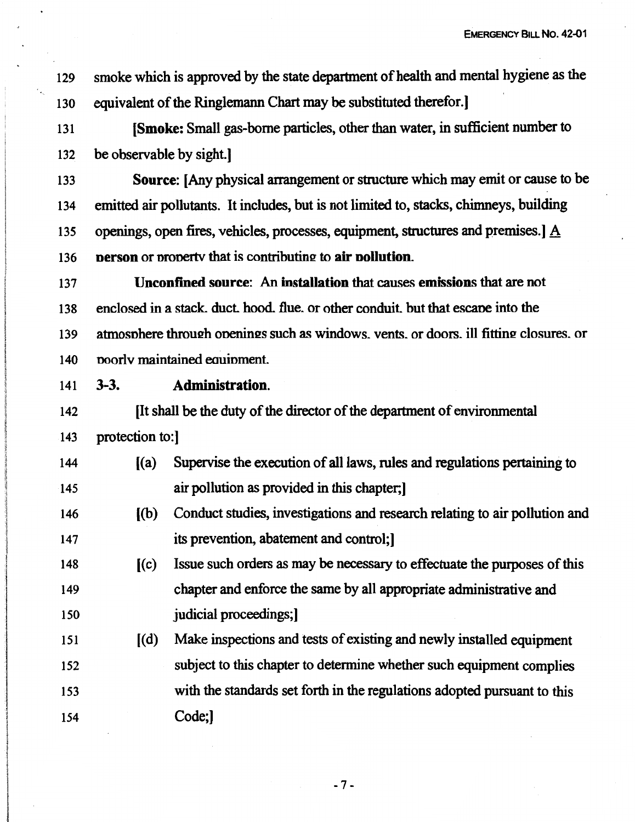**EMERGENCY BILL No. 42-01** 

129 smoke which is approved by the state department of health and mental hygiene as the 130 equivalent of the Ringlemann Chart may be substituted therefor.]

131 **(Smoke:** Small gas-borne particles, other than water, in sufficient number to 132 be observable by sight.]

133 **Source:** [Any physical arrangement or structure which may emit or cause to be 134 emitted air pollutants. It includes, but is not limited to, stacks, chimneys, building 135 openings, open fires, vehicles, processes, equipment, structures and premises.] A 136 **person** or property that is contributing to **air pollution**.

137 **Unconfined source:** An **installation** that causes **emissions** that are not 138 enclosed in a stack. duct. hood. flue. or other conduit. but that escane into the 139 atmosphere through openings such as windows. vents. or doors. ill fitting closures. or 140 noorlv maintained eauinment.

141 3-3. **Administration.** 

142 **IIt shall be the duty of the director of the department of environmental** 143 protection to:]

- 144 ((a) Supervise the execution of all laws, rules and regulations pertaining to 145 air pollution as provided in this chapter;]
- 146 ( (b) Conduct studies, investigations and research relating to air pollution and 147 its prevention, abatement and control;]

148 [ ( c) Issue such orders as may be necessary to effectuate the purposes of this 149 chapter and enforce the same by all appropriate administrative and 150 **judicial proceedings;** 

151 (d) Make inspections and tests of existing and newly installed equipment 152 153 154 subject to this chapter to determine whether such equipment complies with the standards set forth in the regulations adopted pursuant to this Code;]

 $-7 -$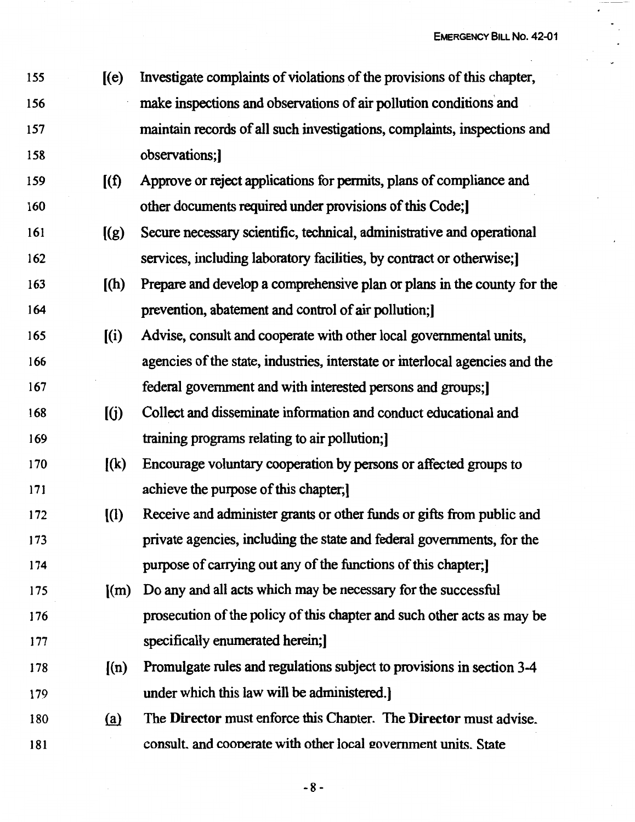<sup>155</sup>[(e) Investigate complaints of violations of the provisions of this chapter, 156 make inspections and observations of air pollution conditions' and 157 maintain records of all such investigations, complaints, inspections and 158 observations;] 159 [(f) Approve or reject applications for pennits, plans of compliance and 160 other documents required under provisions of this Code;] 161 [(g) Secure necessary scientific, technical, administrative and operational 162 services, including laboratory facilities, by contract or otherwise; 163 ((h) Prepare and develop a comprehensive plan or plans in the county for the 164 prevention, abatement and control of air pollution;] 165 ((i) Advise, consult and cooperate with other local governmental units, 166 agencies of the state, industries, interstate or interlocal agencies and the 167 federal government and with interested persons and groups;] 168 [(j) Collect and disseminate information and conduct educational and 169 training programs relating to air pollution;] 170 ((k) Encourage voluntary cooperation by persons or affected groups to 171 achieve the purpose of this chapter;] 172 ((1) Receive and administer grants or other funds or gifts from public and 173 private agencies, including the state and federal governments, for the 174 purpose of carrying out any of the functions of this chapter;] 175 ((m) Do any and all acts which may be necessary for the successful 176 prosecution of the policy of this chapter and such other acts as may be 177 specifically enumerated herein; 178 ((n) Promulgate rules and regulations subject to provisions in section 3-4 179 under which this law will be administered.] 180 *(ru* The **Director** must enforce this Chanter. The **Director** must advise. 181 consult. and cooperate with other local government units. State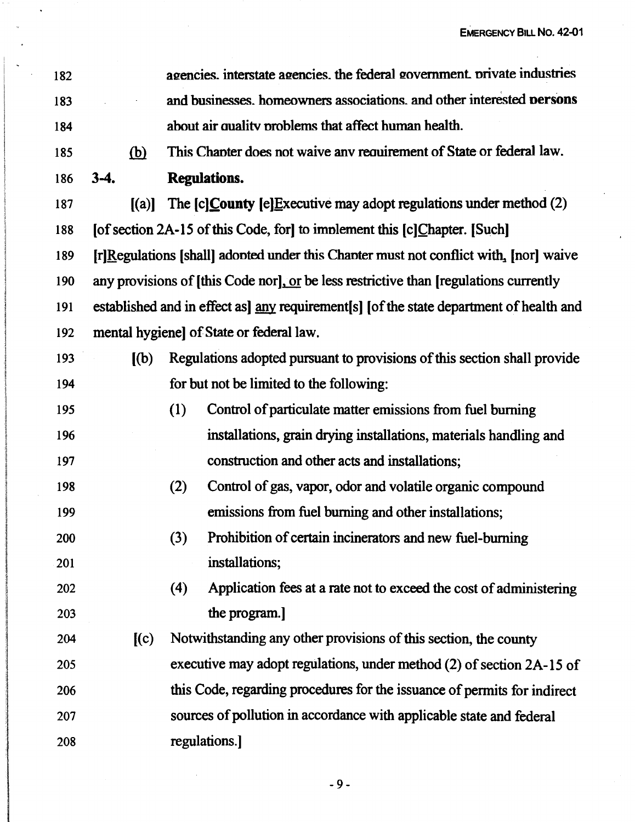| 182 |                          | agencies, interstate agencies, the federal government, private industries               |
|-----|--------------------------|-----------------------------------------------------------------------------------------|
| 183 |                          | and businesses. homeowners associations. and other interested persons                   |
| 184 |                          | about air quality problems that affect human health.                                    |
| 185 | <u>(b)</u>               | This Chapter does not waive any requirement of State or federal law.                    |
| 186 | $3-4.$                   | <b>Regulations.</b>                                                                     |
| 187 | (a)                      | The $[c]$ <i>County</i> $[e]$ <i>Executive may adopt regulations under method (2)</i>   |
| 188 |                          | [of section 2A-15 of this Code, for] to implement this [c]Chapter. [Such]               |
| 189 |                          | [r]Regulations [shall] adopted under this Chapter must not conflict with, [nor] waive   |
| 190 |                          | any provisions of [this Code nor], or be less restrictive than [regulations currently   |
| 191 |                          | established and in effect as] any requirement[s] [of the state department of health and |
| 192 |                          | mental hygiene] of State or federal law.                                                |
| 193 | $\mathbf{I}(\mathbf{b})$ | Regulations adopted pursuant to provisions of this section shall provide                |
| 194 |                          | for but not be limited to the following:                                                |
| 195 |                          | (1)<br>Control of particulate matter emissions from fuel burning                        |
| 196 |                          | installations, grain drying installations, materials handling and                       |
| 197 |                          | construction and other acts and installations;                                          |
| 198 |                          | Control of gas, vapor, odor and volatile organic compound<br>(2)                        |
| 199 |                          | emissions from fuel burning and other installations;                                    |
| 200 |                          | Prohibition of certain incinerators and new fuel-burning<br>(3)                         |
| 201 |                          | installations;                                                                          |
| 202 |                          | (4)<br>Application fees at a rate not to exceed the cost of administering               |
| 203 |                          | the program.]                                                                           |
| 204 | (c)                      | Notwithstanding any other provisions of this section, the county                        |
| 205 |                          | executive may adopt regulations, under method (2) of section 2A-15 of                   |
| 206 |                          | this Code, regarding procedures for the issuance of permits for indirect                |
| 207 |                          | sources of pollution in accordance with applicable state and federal                    |
| 208 |                          | regulations.]                                                                           |

-9-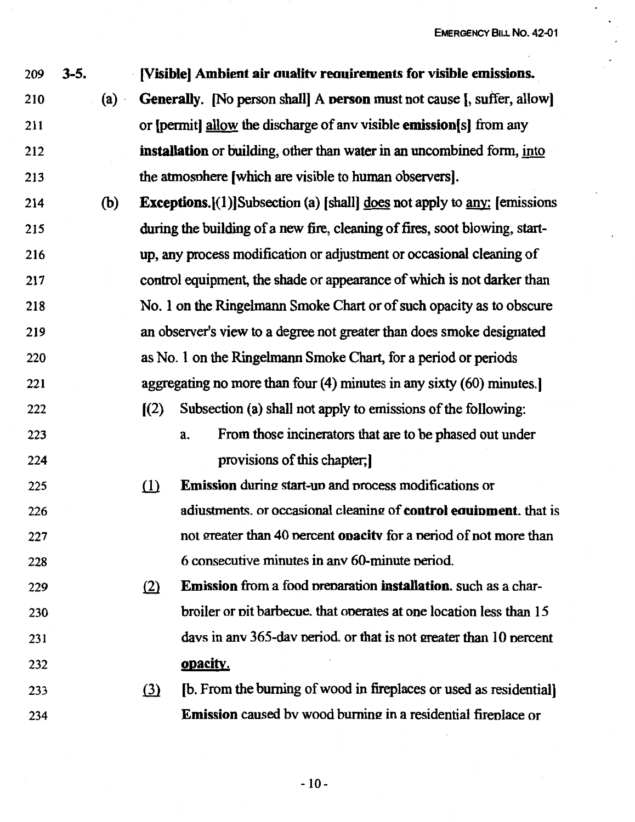**EMERGENCY BILL No. 42-01** 

.

| 209 | $3 - 5.$ |     |                            | [Visible] Ambient air quality requirements for visible emissions.                    |
|-----|----------|-----|----------------------------|--------------------------------------------------------------------------------------|
| 210 |          | (a) |                            | <b>Generally.</b> [No person shall] A <b>person</b> must not cause [, suffer, allow] |
| 211 |          |     |                            | or [permit] allow the discharge of any visible emission[s] from any                  |
| 212 |          |     |                            | installation or building, other than water in an uncombined form, into               |
| 213 |          |     |                            | the atmosphere [which are visible to human observers].                               |
| 214 |          | (b) |                            | <b>Exceptions.</b> $[(1)]$ Subsection (a) [shall] does not apply to any: [emissions  |
| 215 |          |     |                            | during the building of a new fire, cleaning of fires, soot blowing, start-           |
| 216 |          |     |                            | up, any process modification or adjustment or occasional cleaning of                 |
| 217 |          |     |                            | control equipment, the shade or appearance of which is not darker than               |
| 218 |          |     |                            | No. 1 on the Ringelmann Smoke Chart or of such opacity as to obscure                 |
| 219 |          |     |                            | an observer's view to a degree not greater than does smoke designated                |
| 220 |          |     |                            | as No. 1 on the Ringelmann Smoke Chart, for a period or periods                      |
| 221 |          |     |                            | aggregating no more than four $(4)$ minutes in any sixty $(60)$ minutes.             |
| 222 |          |     | $\left[\frac{2}{2}\right]$ | Subsection (a) shall not apply to emissions of the following:                        |
| 223 |          |     |                            | From those incinerators that are to be phased out under<br>a.                        |
| 224 |          |     |                            | provisions of this chapter;                                                          |
| 225 |          |     | $\Omega$                   | <b>Emission</b> during start-up and process modifications or                         |
| 226 |          |     |                            | adiustments. or occasional cleaning of control equipment. that is                    |
| 227 |          |     |                            | not greater than 40 percent <b>opacity</b> for a period of not more than             |
| 228 |          |     |                            | 6 consecutive minutes in any 60-minute period.                                       |
| 229 |          |     | (2)                        | <b>Emission</b> from a food preparation <b>installation</b> , such as a char-        |
| 230 |          |     |                            | broiler or pit barbecue. that operates at one location less than 15                  |
| 231 |          |     |                            | days in any 365-day period, or that is not greater than 10 percent                   |
| 232 |          |     |                            | opacity.                                                                             |
| 233 |          |     | $\Omega$                   | [b. From the burning of wood in fireplaces or used as residential]                   |
| 234 |          |     |                            | <b>Emission</b> caused by wood burning in a residential fireplace or                 |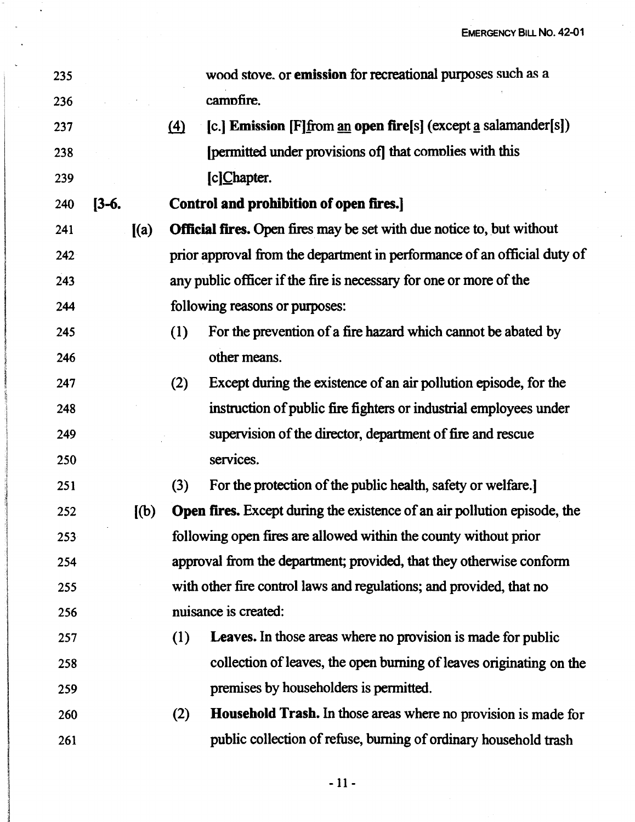$\mathcal{L}$ 

| 235     |         |         |          | wood stove. or emission for recreational purposes such as a                     |
|---------|---------|---------|----------|---------------------------------------------------------------------------------|
| 236     |         |         |          | campfire.                                                                       |
| 237     |         |         | $\Delta$ | [c.] Emission $[F]$ from an open fire[s] (except a salamander[s])               |
| 238     |         |         |          | [permitted under provisions of] that complies with this                         |
| 239     |         |         |          | [c]Chapter.                                                                     |
| 240     | $[3-6]$ |         |          | Control and prohibition of open fires.]                                         |
| 241     |         | (a)     |          | <b>Official fires.</b> Open fires may be set with due notice to, but without    |
| 242     |         |         |          | prior approval from the department in performance of an official duty of        |
| 243     |         |         |          | any public officer if the fire is necessary for one or more of the              |
| 244     |         |         |          | following reasons or purposes:                                                  |
| 245     |         |         | (1)      | For the prevention of a fire hazard which cannot be abated by                   |
| 246     |         |         |          | other means.                                                                    |
| 247     |         |         | (2)      | Except during the existence of an air pollution episode, for the                |
| 248     |         |         |          | instruction of public fire fighters or industrial employees under               |
| 249     |         |         |          | supervision of the director, department of fire and rescue                      |
| 250     |         |         |          | services.                                                                       |
| 251     |         |         | (3)      | For the protection of the public health, safety or welfare.]                    |
| 252     |         | $[$ (b) |          | <b>Open fires.</b> Except during the existence of an air pollution episode, the |
| $253 -$ |         |         |          | following open fires are allowed within the county without prior                |
| 254     |         |         |          | approval from the department; provided, that they otherwise conform             |
| 255     |         |         |          | with other fire control laws and regulations; and provided, that no             |
| 256     |         |         |          | nuisance is created:                                                            |
| 257     |         |         | (1)      | <b>Leaves.</b> In those areas where no provision is made for public             |
| 258     |         |         |          | collection of leaves, the open burning of leaves originating on the             |
| 259     |         |         |          | premises by householders is permitted.                                          |
| 260     |         |         | (2)      | <b>Household Trash.</b> In those areas where no provision is made for           |
| 261     |         |         |          | public collection of refuse, burning of ordinary household trash                |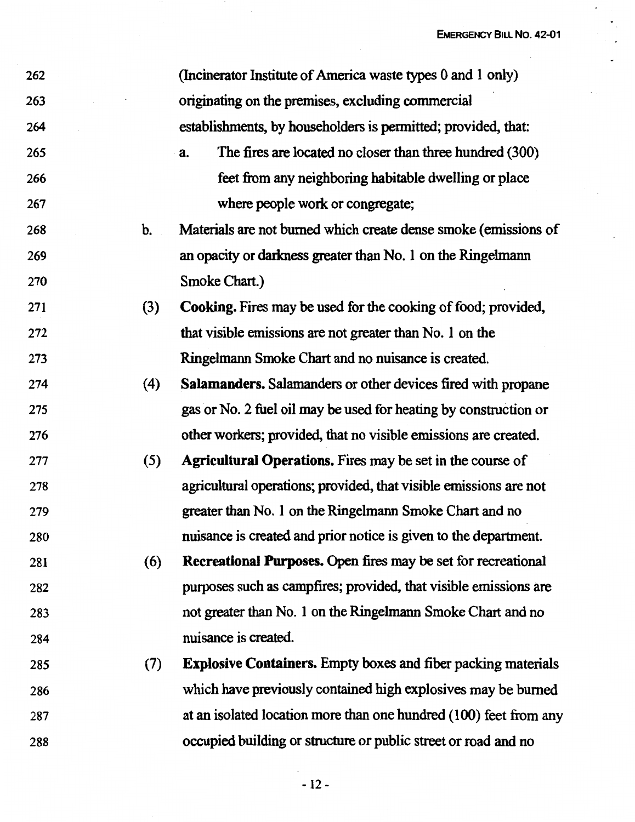$\cdot$ 

| 262 |     | (Incinerator Institute of America waste types 0 and 1 only)          |
|-----|-----|----------------------------------------------------------------------|
| 263 |     | originating on the premises, excluding commercial                    |
| 264 |     | establishments, by householders is permitted; provided, that:        |
| 265 |     | The fires are located no closer than three hundred (300)<br>a.       |
| 266 |     | feet from any neighboring habitable dwelling or place                |
| 267 |     | where people work or congregate;                                     |
| 268 | b.  | Materials are not burned which create dense smoke (emissions of      |
| 269 |     | an opacity or darkness greater than No. 1 on the Ringelmann          |
| 270 |     | Smoke Chart.)                                                        |
| 271 | (3) | Cooking. Fires may be used for the cooking of food; provided,        |
| 272 |     | that visible emissions are not greater than No. 1 on the             |
| 273 |     | Ringelmann Smoke Chart and no nuisance is created.                   |
| 274 | (4) | <b>Salamanders.</b> Salamanders or other devices fired with propane  |
| 275 |     | gas or No. 2 fuel oil may be used for heating by construction or     |
| 276 |     | other workers; provided, that no visible emissions are created.      |
| 277 | (5) | Agricultural Operations. Fires may be set in the course of           |
| 278 |     | agricultural operations; provided, that visible emissions are not    |
| 279 |     | greater than No. 1 on the Ringelmann Smoke Chart and no              |
| 280 |     | nuisance is created and prior notice is given to the department.     |
| 281 | (6) | Recreational Purposes. Open fires may be set for recreational        |
| 282 |     | purposes such as campfires; provided, that visible emissions are     |
| 283 |     | not greater than No. 1 on the Ringelmann Smoke Chart and no          |
| 284 |     | nuisance is created.                                                 |
| 285 | (7) | <b>Explosive Containers.</b> Empty boxes and fiber packing materials |
| 286 |     | which have previously contained high explosives may be burned        |
| 287 |     | at an isolated location more than one hundred (100) feet from any    |
| 288 |     | occupied building or structure or public street or road and no       |

 $\hat{\mathcal{A}}$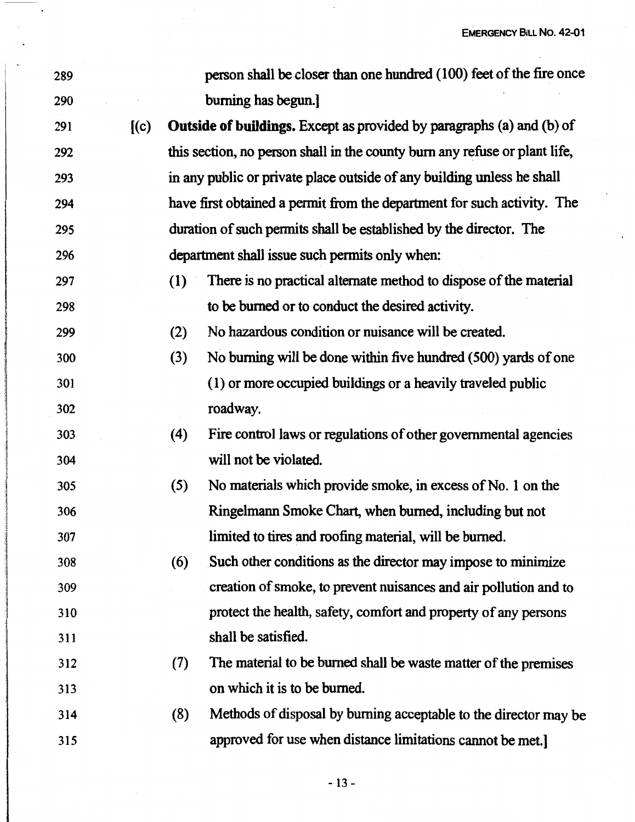J,

| $\check{\phantom{a}}$ | 289 |     |     | person shall be closer than one hundred (100) feet of the fire once        |
|-----------------------|-----|-----|-----|----------------------------------------------------------------------------|
|                       | 290 |     |     | burning has begun.]                                                        |
|                       | 291 | (c) |     | Outside of buildings. Except as provided by paragraphs (a) and (b) of      |
|                       | 292 |     |     | this section, no person shall in the county burn any refuse or plant life, |
|                       | 293 |     |     | in any public or private place outside of any building unless he shall     |
|                       | 294 |     |     | have first obtained a permit from the department for such activity. The    |
|                       | 295 |     |     | duration of such permits shall be established by the director. The         |
|                       | 296 |     |     | department shall issue such permits only when:                             |
|                       | 297 |     | (1) | There is no practical alternate method to dispose of the material          |
|                       | 298 |     |     | to be burned or to conduct the desired activity.                           |
|                       | 299 |     | (2) | No hazardous condition or nuisance will be created.                        |
|                       | 300 |     | (3) | No burning will be done within five hundred (500) yards of one             |
|                       | 301 |     |     | (1) or more occupied buildings or a heavily traveled public                |
|                       | 302 |     |     | roadway.                                                                   |
|                       | 303 |     | (4) | Fire control laws or regulations of other governmental agencies            |
|                       | 304 |     |     | will not be violated.                                                      |
|                       | 305 |     | (5) | No materials which provide smoke, in excess of No. 1 on the                |
|                       | 306 |     |     | Ringelmann Smoke Chart, when burned, including but not                     |
|                       | 307 |     |     | limited to tires and roofing material, will be burned.                     |
|                       | 308 |     | (6) | Such other conditions as the director may impose to minimize               |
|                       | 309 |     |     | creation of smoke, to prevent nuisances and air pollution and to           |
|                       | 310 |     |     | protect the health, safety, comfort and property of any persons            |
|                       | 311 |     |     | shall be satisfied.                                                        |
|                       | 312 |     | (7) | The material to be burned shall be waste matter of the premises            |
|                       | 313 |     |     | on which it is to be burned.                                               |
|                       | 314 |     | (8) | Methods of disposal by burning acceptable to the director may be           |
|                       | 315 |     |     | approved for use when distance limitations cannot be met.                  |
|                       |     |     |     |                                                                            |

 $\sim$   $\sim$ 

 $\ddot{\phantom{a}}$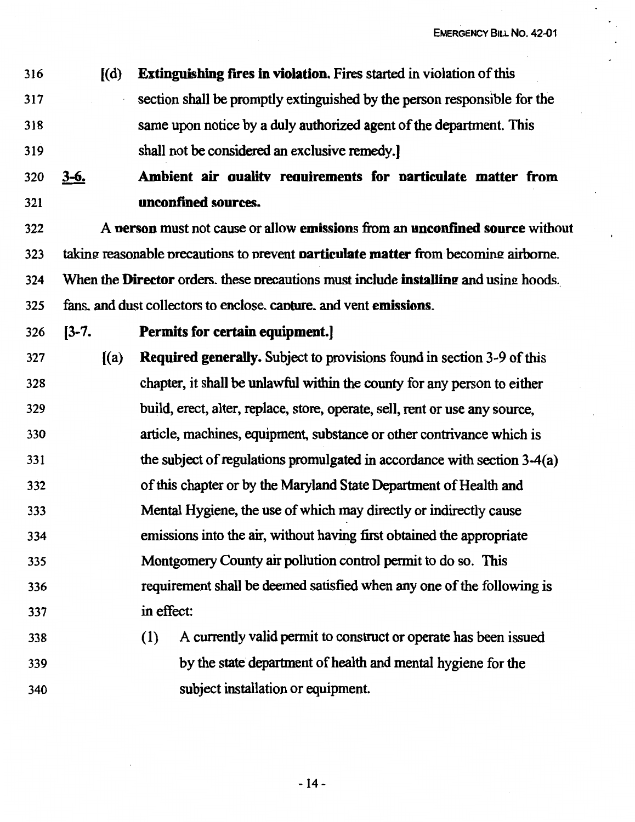- 316 [(d) **Extinguishing fires** in **violation.** Fires started in violation of this 317 section shall be promptly extinguished by the person responsible for the 318 same upon notice by a duly authorized agent of the department. This 319 shall not be considered an exclusive remedy.]
- 320 **3-6. Ambient air oualitv reouirements for oarticulate matter from**  321 **unconfined sources.**
- 322 A **oerson** must not cause or allow **emissions** from an **unconfined source** without 323 takin2: reasonable nrecautions to nrevent **oarticulate matter** from becoming: airborne. 324 When the **Director** orders. these nrecautions must include **installine** and usin2: hoods. 325 fans. and dust collectors to enclose. canture. and vent **emissions.**
- 

# 326 (3-7. **Permits for certain equipment.]**

- 327 ((a) **Required generally.** Subject to provisions found in section 3-9 of this 328 chapter, it shall be unlawful within the county for any person to either 329 build, erect, alter, replace, store, operate, sell, rent or use any source, 330 article, machines, equipment, substance or other contrivance which is 331 the subject of regulations promulgated in accordance with section 3-4(a) 332 of this chapter or by the Maryland State Department of Health and 333 334 335 336 337 Mental Hygiene, the use of which may directly or indirectly cause emissions into the air, without having first obtained the appropriate Montgomery County air pollution control permit to do so. This requirement shall be deemed satisfied when any one of the following is in effect:
- 338 339 340 ( 1) A currently valid pennit to construct or operate has been issued by the state department of health and mental hygiene for the subject installation or equipment.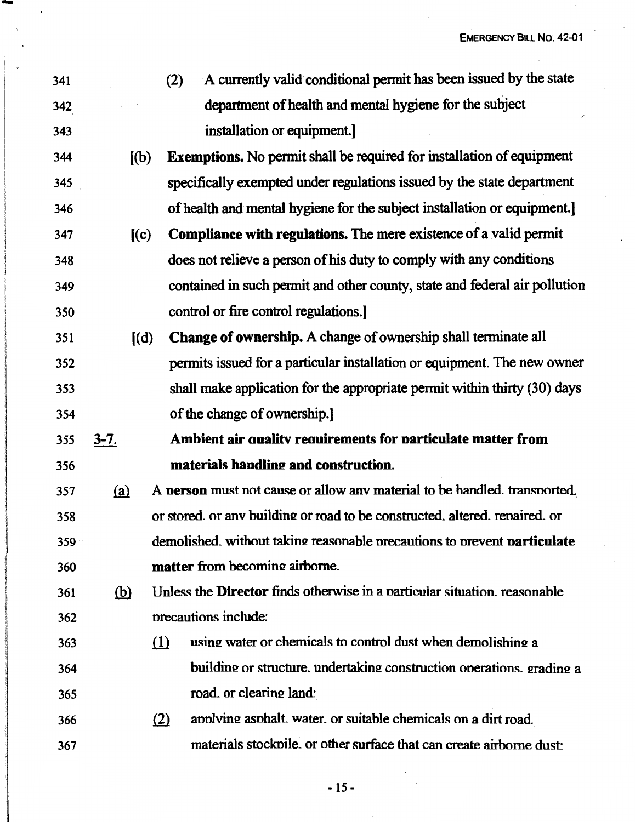341 342 343 344 345 346 347 348 349 350 351 352 353 354 355 356 **3-7.**  (2) A currently valid conditional pennit has been issued by the state department of health and mental hygiene for the subject installation or equipment.] [(b) **Exemptions.** No pennit shall be required for installation of equipment specifically exempted under regulations issued by the state department of health and mental hygiene for the subject installation or equipment.] (( c) **Compliance with regulations.** The mere existence of a valid pennit does not relieve a person of his duty to comply with any conditions contained in such pennit and other county, state and federal air pollution control or fire control regulations.] [( d) **Change of ownership.** A change of ownership shall terminate all pennits issued for a particular installation or equipment. The new owner shall make application for the appropriate permit within thirty (30) days of the change of ownership.] **Ambient air oualitv reouirements for oarticulate matter from**  materials handling and construction. 357 {ru A **oerson** must not cause or allow anv material to be handled. transnorted. 358 359 360 or stored, or any building or road to be constructed, altered, repaired, or demolished. without taking reac;onable nrecautions to nrevent **oarticulate matter** from becoming airborne. 361 @ Unless the **Director** finds otherwise in a narticular situation. reasonable 362 363 364 365 366 367 nrecautions include:  $i$ ll using water or chemicals to control dust when demolishing a building or structure, undertaking construction onerations, grading a road. or clearing land: (2) anniving asphalt. water. or suitable chemicals on a dirt road. materials stocknile. or other surface that can create airborne dust: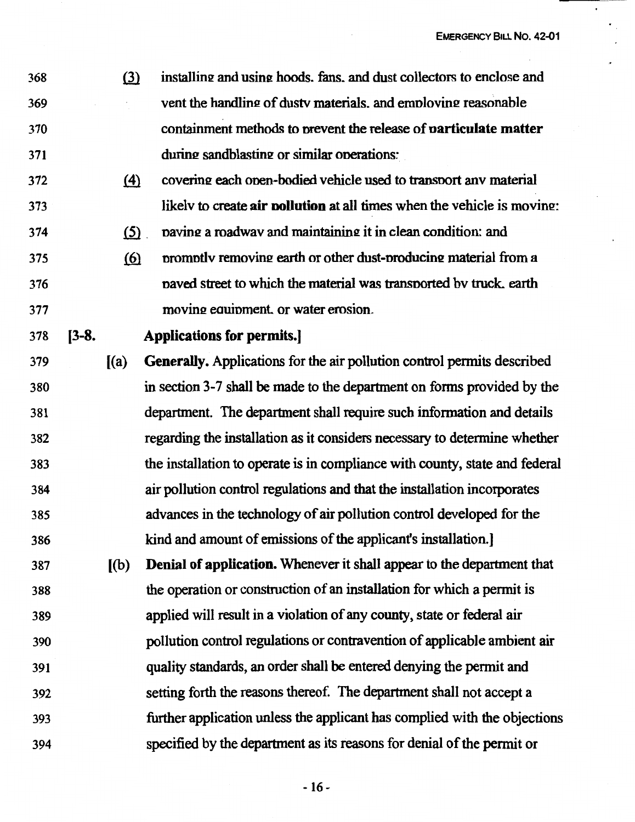368 369 370 371 (3) installing and using hoods, fans, and dust collectors to enclose and vent the handling of dusty materials, and employing reasonable containment methods to nrevent the release of **narticulate matter**  during sandblasting or similar operations:

- 372 373  $f(4)$  covering each onen-bodied vehicle used to transport any material likely to create air **pollution** at all times when the vehicle is moving:
- 374  $(5)$  paving a roadwav and maintaining it in clean condition: and
- 375 376 377  $(6)$  promptly removing earth or other dust-producing material from a naved street to which the material was transnorted bv truck. earth moving equipment, or water erosion.

378

**[3-8.** 

# **Applications for permits.]**

- 379 380 381 382 383 384 385 386 [(a) **Generally.** Applications for the air pollution control permits described in section 3-7 shall be made to the department on forms provided by the department. The department shall require such infonnation and details regarding the installation as it considers necessary to determine whether the installation to operate is in compliance with county, state and federal air pollution control regulations and that the installation incorporates advances in the technology of air pollution control developed for the kind and amount of emissions of the applicant's installation.]
- 387 388 389 390 391 392 393 394 [ (b) **Denial of application.** Whenever it shall appear to the department that the operation or construction of an installation for which a pennit is applied will result in a violation of any county, state or federal air pollution control regulations or contravention of applicable ambient air quality standards, an order shall be entered denying the permit and setting forth the reasons thereof. The department shall not accept a further application unless the applicant has complied with the objections specified by the department as its reasons for denial of the permit or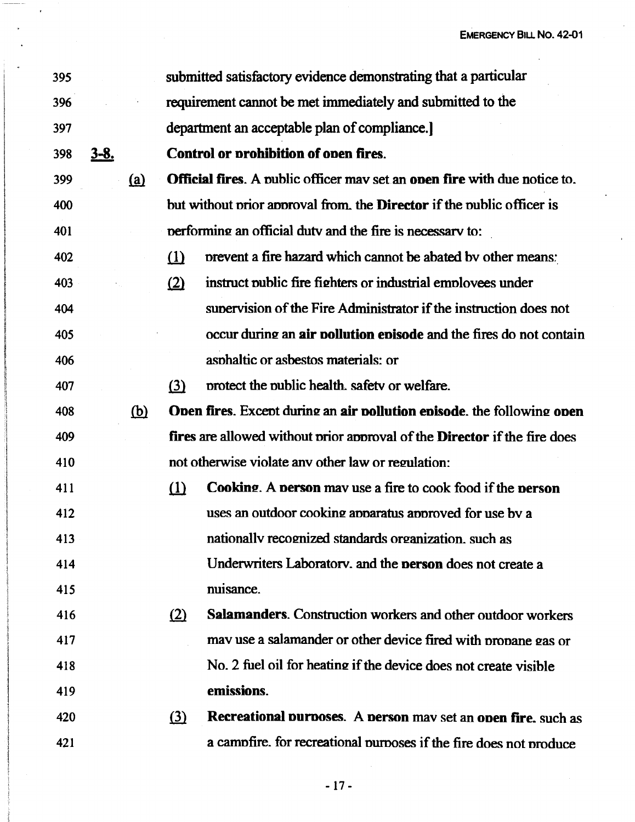| 395 |          |            |          | submitted satisfactory evidence demonstrating that a particular                  |
|-----|----------|------------|----------|----------------------------------------------------------------------------------|
| 396 |          |            |          | requirement cannot be met immediately and submitted to the                       |
| 397 |          |            |          | department an acceptable plan of compliance.                                     |
| 398 | $3 - 8.$ |            |          | <b>Control or prohibition of open fires.</b>                                     |
| 399 |          | (a)        |          | <b>Official fires.</b> A public officer may set an onen fire with due notice to. |
| 400 |          |            |          | but without prior approval from, the <b>Director</b> if the public officer is    |
| 401 |          |            |          | performing an official duty and the fire is necessary to:                        |
| 402 |          |            | $\Omega$ | prevent a fire hazard which cannot be abated by other means:                     |
| 403 |          |            | (2)      | instruct public fire fighters or industrial employees under                      |
| 404 |          |            |          | supervision of the Fire Administrator if the instruction does not                |
| 405 |          |            |          | occur during an air pollution episode and the fires do not contain               |
| 406 |          |            |          | asphaltic or asbestos materials: or                                              |
| 407 |          |            | $\Omega$ | protect the public health, safety or welfare.                                    |
| 408 |          | <u>(b)</u> |          | Open fires. Except during an air pollution episode, the following open           |
| 409 |          |            |          | fires are allowed without prior approval of the Director if the fire does        |
| 410 |          |            |          | not otherwise violate any other law or regulation:                               |
| 411 |          |            | $\Omega$ | <b>Cooking.</b> A person may use a fire to cook food if the person               |
| 412 |          |            |          | uses an outdoor cooking apparatus approved for use by a                          |
| 413 |          |            |          | nationally recognized standards organization, such as                            |
| 414 |          |            |          | Underwriters Laboratory, and the <b>person</b> does not create a                 |
| 415 |          |            |          | nuisance.                                                                        |
| 416 |          |            | (2)      | <b>Salamanders.</b> Construction workers and other outdoor workers               |
| 417 |          |            |          | may use a salamander or other device fired with propane gas or                   |
| 418 |          |            |          | No. 2 fuel oil for heating if the device does not create visible                 |
| 419 |          |            |          | emissions.                                                                       |
| 420 |          |            | (3)      | Recreational purposes. A person may set an open fire, such as                    |
| 421 |          |            |          | a campfire. for recreational purposes if the fire does not produce               |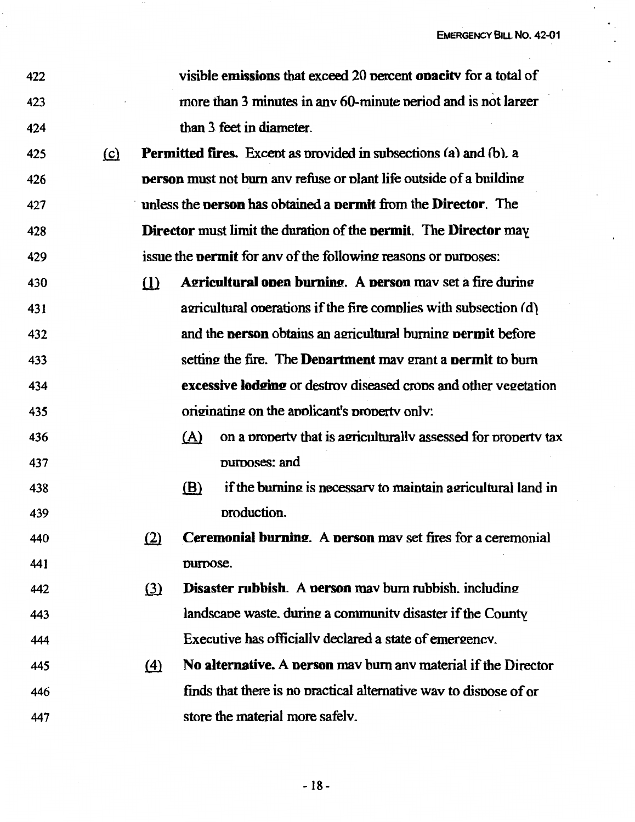| 422 |          |     | visible emissions that exceed 20 percent on acity for a total of                     |
|-----|----------|-----|--------------------------------------------------------------------------------------|
| 423 |          |     | more than 3 minutes in any 60-minute period and is not larger                        |
| 424 |          |     | than 3 feet in diameter.                                                             |
| 425 | $\Omega$ |     | <b>Permitted fires.</b> Except as provided in subsections (a) and (b), a             |
| 426 |          |     | <b>person</b> must not burn any refuse or plant life outside of a building           |
| 427 |          |     | unless the <b>person</b> has obtained a <b>permit</b> from the <b>Director</b> . The |
| 428 |          |     | Director must limit the duration of the permit. The Director may                     |
| 429 |          |     | issue the <b>permit</b> for any of the following reasons or purposes:                |
| 430 |          | (1) | <b>Agricultural open burning.</b> A <b>person</b> may set a fire during              |
| 431 |          |     | agricultural operations if the fire complies with subsection (d)                     |
| 432 |          |     | and the <b>person</b> obtains an agricultural burning <b>permit</b> before           |
| 433 |          |     | setting the fire. The <b>Department</b> may grant a <b>permit</b> to burn            |
| 434 |          |     | excessive lodging or destrov diseased crops and other vegetation                     |
| 435 |          |     | originating on the applicant's property only:                                        |
| 436 |          |     | on a property that is agriculturally assessed for property tax<br>(A)                |
| 437 |          |     | purposes: and                                                                        |
| 438 |          |     | if the burning is necessary to maintain agricultural land in<br>(B)                  |
| 439 |          |     | production.                                                                          |
| 440 |          | (2) | Ceremonial burning. A person may set fires for a ceremonial                          |
| 441 |          |     | purpose.                                                                             |
| 442 |          | (3) | <b>Disaster rubbish.</b> A <b>person</b> may burn rubbish, including                 |
| 443 |          |     | landscape waste, during a community disaster if the County                           |
| 444 |          |     | Executive has officially declared a state of emergency.                              |
| 445 |          | (4) | No alternative. A person may burn any material if the Director                       |
| 446 |          |     | finds that there is no practical alternative way to dispose of or                    |
| 447 |          |     | store the material more safely.                                                      |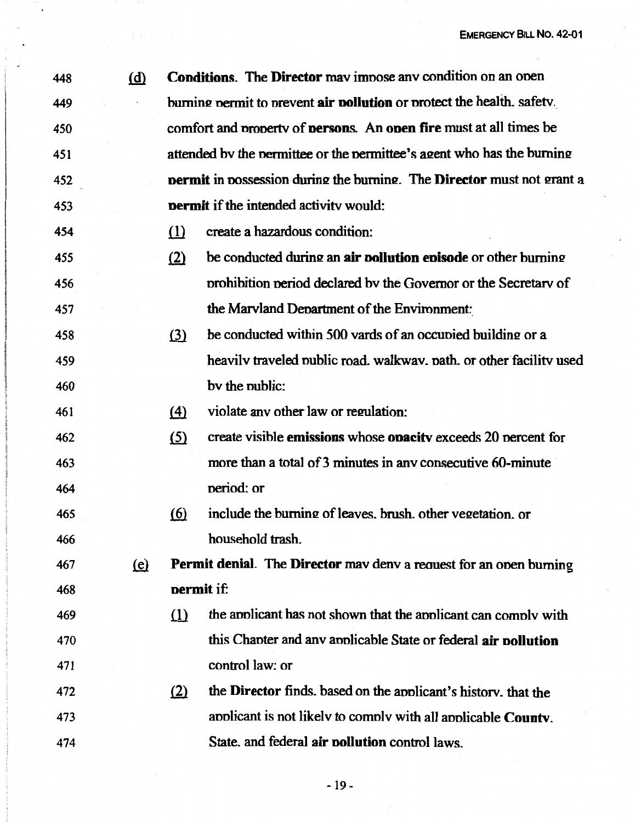| 448 | (d)                          |                   | <b>Conditions.</b> The <b>Director</b> may impose any condition on an open  |
|-----|------------------------------|-------------------|-----------------------------------------------------------------------------|
| 449 |                              |                   | burning permit to prevent air pollution or protect the health. safety.      |
| 450 |                              |                   | comfort and property of persons. An open fire must at all times be          |
| 451 |                              |                   | attended by the permittee or the permittee's agent who has the burning      |
| 452 |                              |                   | permit in possession during the burning. The Director must not grant a      |
| 453 |                              |                   | <b>permit</b> if the intended activity would:                               |
| 454 |                              | (1)               | create a hazardous condition:                                               |
| 455 |                              | (2)               | be conducted during an air pollution episode or other burning               |
| 456 |                              |                   | prohibition period declared by the Governor or the Secretary of             |
| 457 |                              |                   | the Marvland Department of the Environment:                                 |
| 458 |                              | (3)               | be conducted within 500 vards of an occupied building or a                  |
| 459 |                              |                   | heavily traveled public road, walkway, path, or other facility used         |
| 460 |                              |                   | by the public:                                                              |
| 461 |                              | $\left(4\right)$  | violate any other law or regulation:                                        |
| 462 |                              | <u>(5)</u>        | create visible <b>emissions</b> whose <b>opacity</b> exceeds 20 percent for |
| 463 |                              |                   | more than a total of 3 minutes in any consecutive 60-minute                 |
| 464 |                              |                   | period: or                                                                  |
| 465 |                              | <u>(6)</u>        | include the burning of leaves, brush, other vegetation, or                  |
| 466 |                              |                   | household trash.                                                            |
| 467 | $\left(\underline{e}\right)$ |                   | Permit denial. The Director mav denv a request for an open burning          |
| 468 |                              | <b>permit</b> if: |                                                                             |
| 469 |                              | (1)               | the applicant has not shown that the applicant can comply with              |
| 470 |                              |                   | this Chapter and any applicable State or federal air pollution              |
| 471 |                              |                   | control law: or                                                             |
| 472 |                              | (2)               | the Director finds, based on the applicant's history, that the              |
| 473 |                              |                   | applicant is not likely to comply with all applicable County.               |
| 474 |                              |                   | State, and federal air pollution control laws.                              |

 $\ddot{\phantom{0}}$ 

 $\eta$  and  $\eta$  and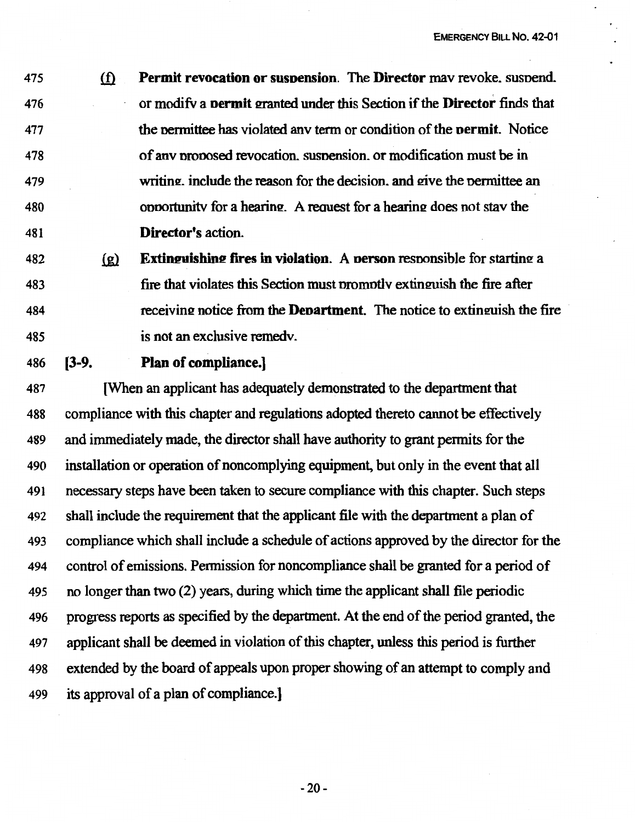475 ill **Permit revocation or susoension.** The **Director** mav revoke. susnend. 476 477 478 479 480 481 or modifv a **oermit** srnmted under this Section if the **Director** finds that the nermittee has·violated anv term or condition of the **oermit.** Notice of anv nrooosed revocation. susnension. or modification must be in writing, include the reason for the decision, and give the permittee an opportunity for a hearing. A request for a hearing does not stay the **Director's** action.

- 482 (g) **Extinguishing fires in violation.** A **person** responsible for starting a 483 484 485 fire that violates this Section must promptly extinguish the fire after receiving notice from the **Department**. The notice to extinguish the fire is not an exclusive remedv.
- 486 **[3-9.**

#### **Plan of compliance.]**

487 [When an applicant has adequately demonstrated to the department that 488 compliance with this chapter and regulations adopted thereto cannot be effectively 489 and immediately made, the director shall have authority to grant permits for the 490 installation or operation of noncomplying equipment, but only in the event that all 491 necessary steps have been taken to secure compliance with this chapter. Such steps 492 shall include the requirement that the applicant file with the department a plan of 493 compliance which shall include a schedule of actions approved by the director for the 494 control of emissions. Permission for noncompliance shall be granted for a period of 495 no longer than two (2) years, during which time the applicant shall file periodic 496 progress reports as specified by the department. At the end of the period granted, the 497 applicant shall be deemed in violation of this chapter, unless this period is further 498 extended by the board of appeals upon proper showing of an attempt to comply and 499 its approval of a plan of compliance.]

-20-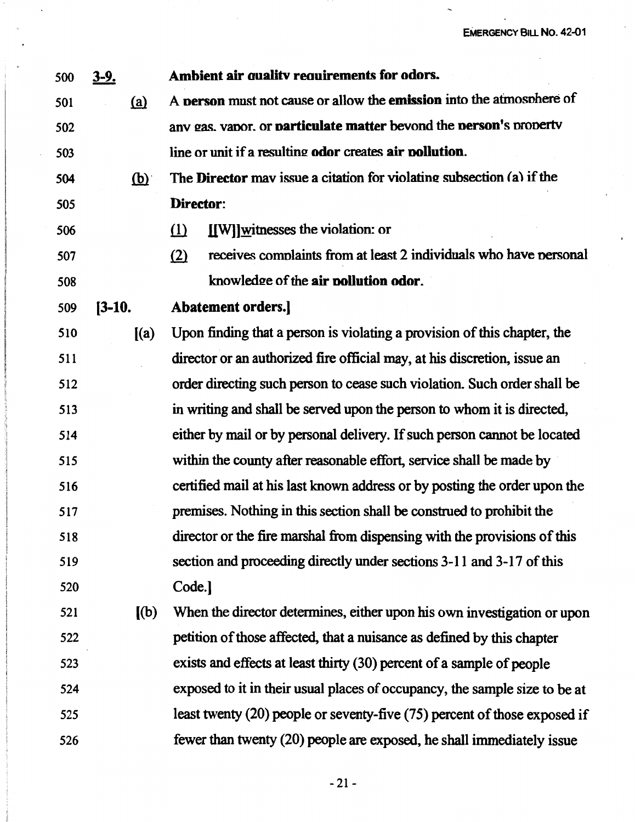$\ddot{\phantom{1}}$ 

| 500 | <u>3-9.</u>               | Ambient air quality requirements for odors.                                   |
|-----|---------------------------|-------------------------------------------------------------------------------|
| 501 | (a)                       | A person must not cause or allow the emission into the atmosphere of          |
| 502 |                           | any gas, vapor, or particulate matter beyond the person's property            |
| 503 |                           | line or unit if a resulting odor creates air pollution.                       |
| 504 | $\overline{(\mathbf{p})}$ | The Director may issue a citation for violating subsection (a) if the         |
| 505 |                           | Director:                                                                     |
| 506 |                           | [[W]]witnesses the violation: or<br>$\Omega$                                  |
| 507 |                           | receives complaints from at least 2 individuals who have personal<br>(2)      |
| 508 |                           | knowledge of the air pollution odor.                                          |
| 509 | $[3-10.]$                 | Abatement orders.]                                                            |
| 510 | (a)                       | Upon finding that a person is violating a provision of this chapter, the      |
| 511 |                           | director or an authorized fire official may, at his discretion, issue an      |
| 512 |                           | order directing such person to cease such violation. Such order shall be      |
| 513 |                           | in writing and shall be served upon the person to whom it is directed,        |
| 514 |                           | either by mail or by personal delivery. If such person cannot be located      |
| 515 |                           | within the county after reasonable effort, service shall be made by           |
| 516 |                           | certified mail at his last known address or by posting the order upon the     |
| 517 |                           | premises. Nothing in this section shall be construed to prohibit the          |
| 518 |                           | director or the fire marshal from dispensing with the provisions of this      |
| 519 |                           | section and proceeding directly under sections 3-11 and 3-17 of this          |
| 520 |                           | Code.]                                                                        |
| 521 | $\left[\text{(b)}\right]$ | When the director determines, either upon his own investigation or upon       |
| 522 |                           | petition of those affected, that a nuisance as defined by this chapter        |
| 523 |                           | exists and effects at least thirty (30) percent of a sample of people         |
| 524 |                           | exposed to it in their usual places of occupancy, the sample size to be at    |
| 525 |                           | least twenty $(20)$ people or seventy-five $(75)$ percent of those exposed if |
| 526 |                           | fewer than twenty (20) people are exposed, he shall immediately issue         |

 $\overline{a}$ 

 $-21-$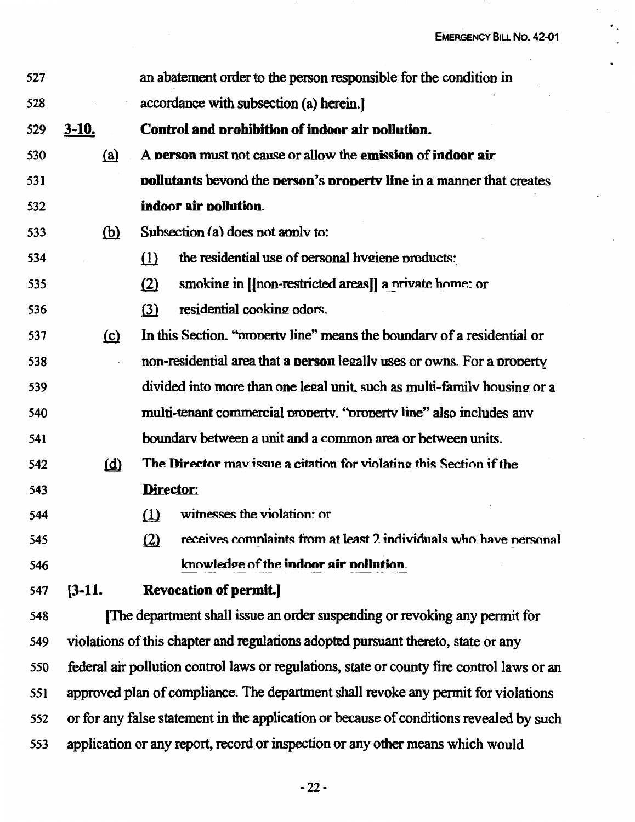| 527 |              | an abatement order to the person responsible for the condition in                          |  |  |  |
|-----|--------------|--------------------------------------------------------------------------------------------|--|--|--|
| 528 |              | accordance with subsection (a) herein.                                                     |  |  |  |
| 529 | <u>3-10.</u> | Control and prohibition of indoor air pollution.                                           |  |  |  |
| 530 | <u>(a)</u>   | A person must not cause or allow the emission of indoor air                                |  |  |  |
| 531 |              | <b>pollutants bevond the person's property line in a manner that creates</b>               |  |  |  |
| 532 |              | indoor air pollution.                                                                      |  |  |  |
| 533 | $\mathbf{D}$ | Subsection (a) does not apply to:                                                          |  |  |  |
| 534 |              | the residential use of personal hygiene products:<br>(1)                                   |  |  |  |
| 535 |              | smoking in [[non-restricted areas]] a nrivate home: or<br>(2)                              |  |  |  |
| 536 |              | residential cooking odors.<br>$\Omega$                                                     |  |  |  |
| 537 | (c)          | In this Section. "property line" means the boundary of a residential or                    |  |  |  |
| 538 |              | non-residential area that a <b>person</b> legally uses or owns. For a property             |  |  |  |
| 539 |              | divided into more than one legal unit, such as multi-family housing or a                   |  |  |  |
| 540 |              | multi-tenant commercial property. "property line" also includes any                        |  |  |  |
| 541 |              | boundary between a unit and a common area or between units.                                |  |  |  |
| 542 | $\omega$     | The Director may issue a citation for violating this Section if the                        |  |  |  |
| 543 |              | Director:                                                                                  |  |  |  |
| 544 |              | witnesses the violation: or                                                                |  |  |  |
| 545 |              | receives complaints from at least 2 individuals who have personal<br>$\Omega$              |  |  |  |
| 546 |              | knowledge of the indoor air pollution.                                                     |  |  |  |
| 547 | $[3-11]$ .   | <b>Revocation of permit.</b>                                                               |  |  |  |
| 548 |              | The department shall issue an order suspending or revoking any permit for                  |  |  |  |
| 549 |              | violations of this chapter and regulations adopted pursuant thereto, state or any          |  |  |  |
| 550 |              | federal air pollution control laws or regulations, state or county fire control laws or an |  |  |  |
| 551 |              | approved plan of compliance. The department shall revoke any permit for violations         |  |  |  |
| 552 |              | or for any false statement in the application or because of conditions revealed by such    |  |  |  |
| 553 |              | application or any report, record or inspection or any other means which would             |  |  |  |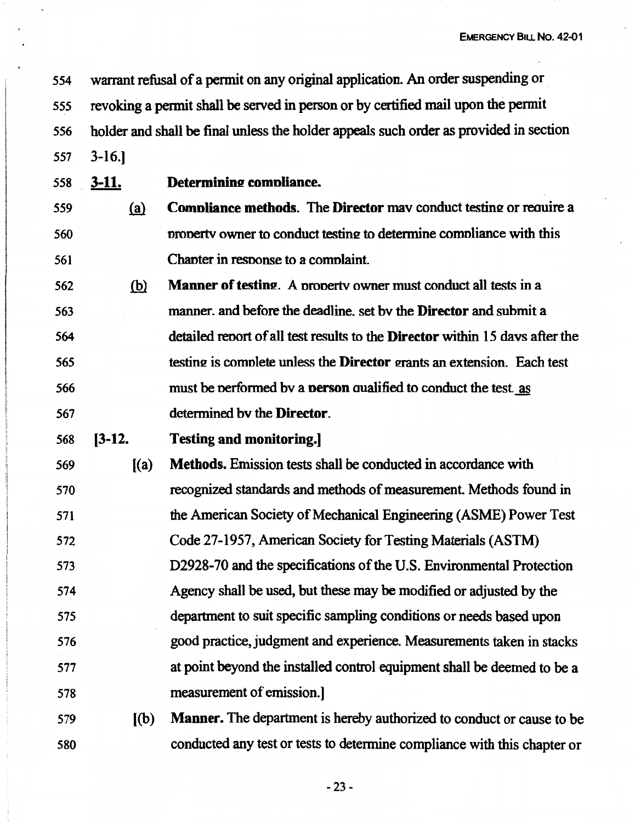554 warrant refusal of a pennit on any original application. An order suspending or

*555* revoking a pennit shall be served in person or by certified mail upon the pennit

*556* holder and shall be final unless the holder appeals such order as provided in section

557 3-16.)

*558* . **3-11. Determinine comnliance.** 

- 559 **(a) Compliance methods.** The **Director** may conduct testing or require a 560 561 property owner to conduct testing to determine compliance with this Chanter in resnonse to a comnlaint.
- 562 fill **Manner of testine.** A nronertv owner must conduct all tests in a 563 *564 565*  566 567 manner. and before the deadline. set bv the **Director** and submit a detailed reoort of all test results to the **Director** within 15 davs after the testing is complete unless the **Director** grants an extension. Each test must be nerformed bv a **nerson** aualified to conduct the test. as determined bv the **Director.**

#### 568 **[3-12. Testing and monitoring.]**

- 569 570 571 572 573 574 575 576 577  $(a)$ **Methods.** Emission tests shall be conducted in accordance with recognized standards and methods of measurement. Methods found in the American Society of Mechanical Engineering (ASME) Power Test Code 27-1957, American Society for Testing Materials (ASTM) D2928-70 and the specifications of the U.S. Environmental Protection Agency shall be used, but these may be modified or adjusted by the department to suit specific sampling conditions or needs based upon good practice, judgment and experience. Measurements taken in stacks at point beyond the installed control equipment shall be deemed to be a 578 measurement of emission.]
- 579 ((b) **Manner.** The department is hereby authorized to conduct or cause to be 580 conducted any test or tests to determine compliance with this chapter or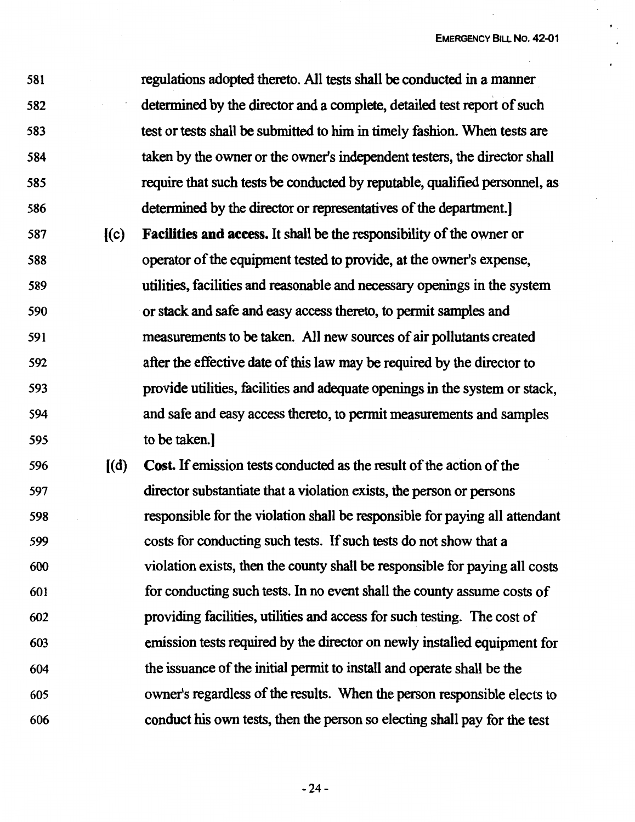581 582 583 584 585 586 regulations adopted thereto. All tests shall be conducted in a manner determined by the director and a complete, detailed test report of such test or tests shall be submitted to him in timely fashion. When tests are taken by the owner or the owner's independent testers, the director shall require that such tests be conducted by reputable, qualified personnel, as determined by the director or representatives of the department.] 587 [ ( c) **Facilities and access.** It shall be the responsibility of the owner or 588 589 590 591 592 operator of the equipment tested to provide, at the owner's expense, utilities, facilities and reasonable and necessary openings in the system or stack and safe and easy access thereto, to permit samples and measurements to be taken. All new sources of air pollutants created after the effective date of this law may be required by the director to

- 593 594 595 provide utilities, facilities and adequate openings in the system or stack, and safe and easy access thereto, to permit measurements and samples to be taken.]
- 596 [ ( d) **Cost.** If emission tests conducted as the result of the action of the 597 598 599 600 601 602 603 604 605 606 director substantiate that a violation exists, the person or persons responsible for the violation shall be responsible for paying all attendant costs for conducting such tests. If such tests do not show that a violation exists, then the county shall be responsible for paying all costs for conducting such tests. In no event shall the county assume costs of providing facilities, utilities and access for such testing. The cost of emission tests required by the director on newly installed equipment for the issuance of the initial permit to install and operate shall be the owner's regardless of the results. When the person responsible elects to conduct his own tests, then the person so electing shall pay for the test

-24-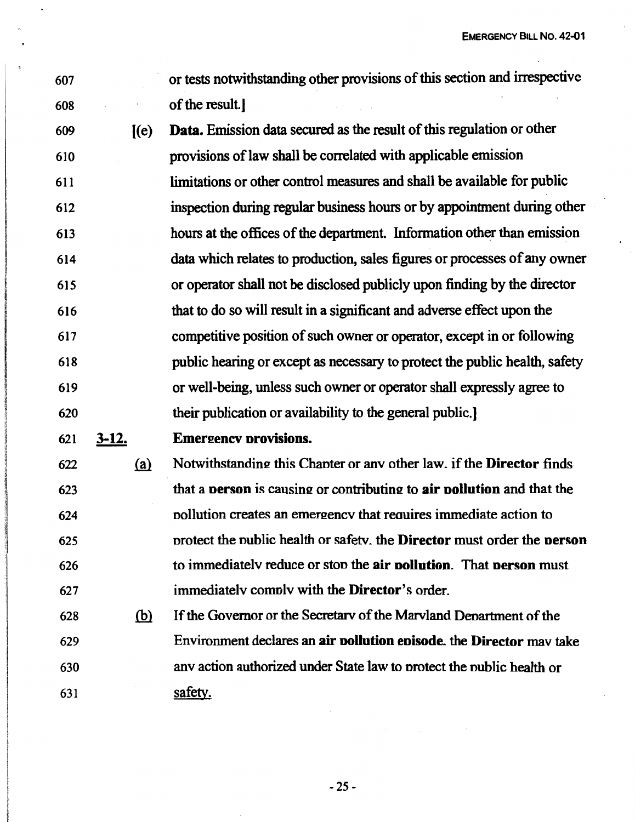EMERGENCY BILL **No. 42-01** 

- 607 608 or tests notwithstanding other provisions of this section and irrespective of the result.)
- 609 610 611 612 613 614 615 616 617 618 619 620  $I(e)$ **Data.** Emission data secured as the result of this regulation or other provisions of law shall be correlated with applicable emission limitations or other control measures and shall be available for public inspection during regular business hours or by appointment during other hours at the offices of the department. Information other than emission data which relates to production, sales figures or processes of any owner or operator shall not be disclosed publicly upon finding by the director that to do so will result in a significant and adverse effect upon the competitive position of such owner or operator, except in or following public hearing or except as necessary to protect the public health, safety or well-being, unless such owner or operator shall expressly agree to their publication or availability to the general public.)
- 621 **3-12. Emereencv orovisions.**
- 622 623 624 625 626 627  $(a)$ Notwithstanding this Chanter or any other law. if the **Director** finds that a **person** is causing or contributing to **air pollution** and that the nollution creates an emergency that requires immediate action to nrotect the nublic health or safetv. the **Director** must order the **oerson**  to immediatelv reduce or ston the **air oollution.** That **oerson** must immediatelv comnlv with the **Director's** order.
- 628 629 630 631  $(b)$ If the Governor or the Secretarv of the Marvland Denartment of the Environment declares an **air oollution eoisode.** the **Director** mav take anv action authorized under State law to nrotect the nublic health or safety.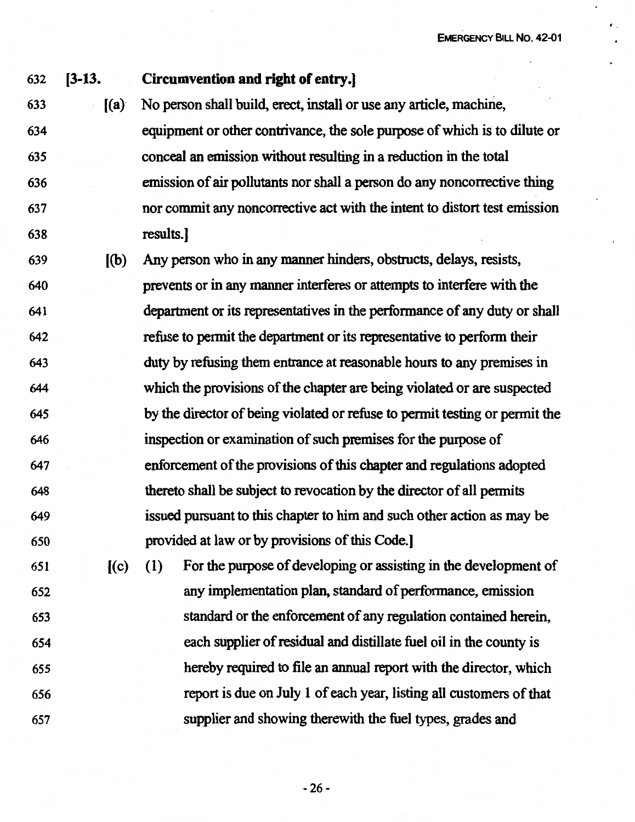, .

#### 632 **(3-13. Circumvention and right of entry.]**

- 633 [(a} No person shall build, erect, install or use any article, machine, 634 635 636 637 638 equipment or other contrivance, the sole purpose of which is to dilute or conceal an emission without resulting in a reduction in the total emission of air pollutants nor shall a person do any noncorrective thing nor commit any noncorrective act with the intent to distort test emission results.]
- 639 ((b) Any person who in any manner hinders, obstructs, delays, resists, 640 prevents or in any manner interferes or attempts to interfere with the 641 department or its representatives in the performance of any duty or shall 642 643 644 645 646 647 648 649 650 refuse to permit the department or its representative to perform their duty by refusing them entrance at reasonable hours to any premises in which the provisions of the chapter are being violated or are suspected by the director of being violated or refuse to pennit testing or pennit the inspection or examination of such premises for the purpose of enforcement of the provisions of this chapter and regulations adopted thereto shall be subject to revocation by the director of all pennits issued pursuant to this chapter to him and such other action as may be provided at law or by provisions of this Code.]

651 ((c) (1) For the purpose of developing or assisting in the development of 652 any implementation plan, standard of perfonnance, emission 653 standard or the enforcement of any regulation contained herein, 654 each supplier of residual and distillate fuel oil in the county is *655* hereby required to file an annual report with the director, which 656 657 report is due on July I of each year, listing all customers of that supplier and showing therewith the fuel types, grades and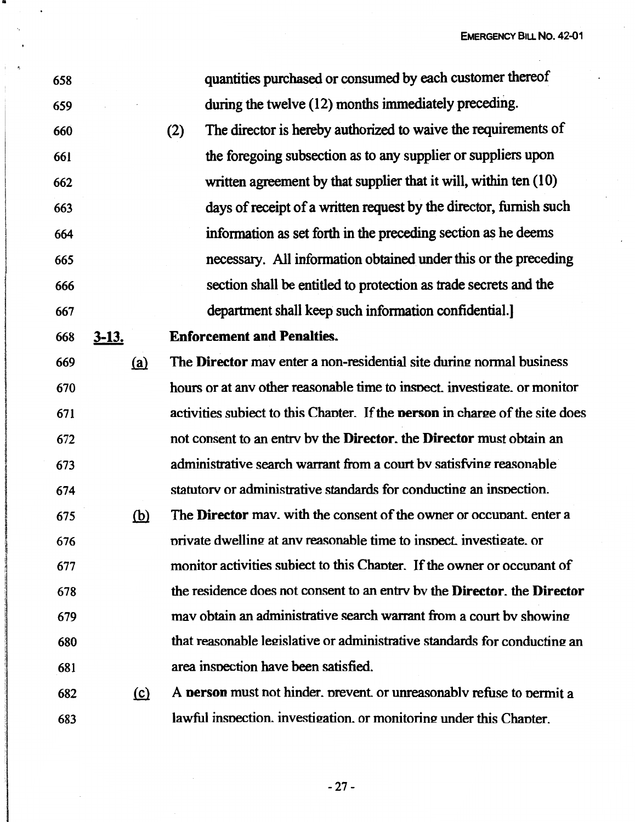**EMERGENCY BILL No. 42-01** 

| 658 |              | quantities purchased or consumed by each customer thereof                           |
|-----|--------------|-------------------------------------------------------------------------------------|
| 659 |              | during the twelve (12) months immediately preceding.                                |
| 660 |              | The director is hereby authorized to waive the requirements of<br>(2)               |
| 661 |              | the foregoing subsection as to any supplier or suppliers upon                       |
| 662 |              | written agreement by that supplier that it will, within ten (10)                    |
| 663 |              | days of receipt of a written request by the director, furnish such                  |
| 664 |              | information as set forth in the preceding section as he deems                       |
| 665 |              | necessary. All information obtained under this or the preceding                     |
| 666 |              | section shall be entitled to protection as trade secrets and the                    |
| 667 |              | department shall keep such information confidential.                                |
| 668 | <u>3-13.</u> | <b>Enforcement and Penalties.</b>                                                   |
| 669 | (a)          | The <b>Director</b> may enter a non-residential site during normal business         |
| 670 |              | hours or at any other reasonable time to inspect, investigate, or monitor           |
| 671 |              | activities subject to this Chapter. If the <b>person</b> in charge of the site does |
| 672 |              | not consent to an entry by the Director, the Director must obtain an                |
| 673 |              | administrative search warrant from a court by satisfying reasonable                 |
| 674 |              | statutory or administrative standards for conducting an inspection.                 |
| 675 | <u>(b)</u>   | The Director may, with the consent of the owner or occupant, enter a                |
| 676 |              | private dwelling at any reasonable time to inspect, investigate, or                 |
| 677 |              | monitor activities subject to this Chapter. If the owner or occupant of             |
| 678 |              | the residence does not consent to an entry by the Director, the Director            |
| 679 |              | may obtain an administrative search warrant from a court by showing                 |
| 680 |              | that reasonable legislative or administrative standards for conducting an           |
| 681 |              | area inspection have been satisfied.                                                |
| 682 | (c)          | A <b>person</b> must not hinder, prevent, or unreasonably refuse to permit a        |
| 683 |              | lawful inspection, investigation, or monitoring under this Chapter.                 |

"

 $\ddot{\phantom{a}}$ 

-27 -

 $\mathbb{R}^2$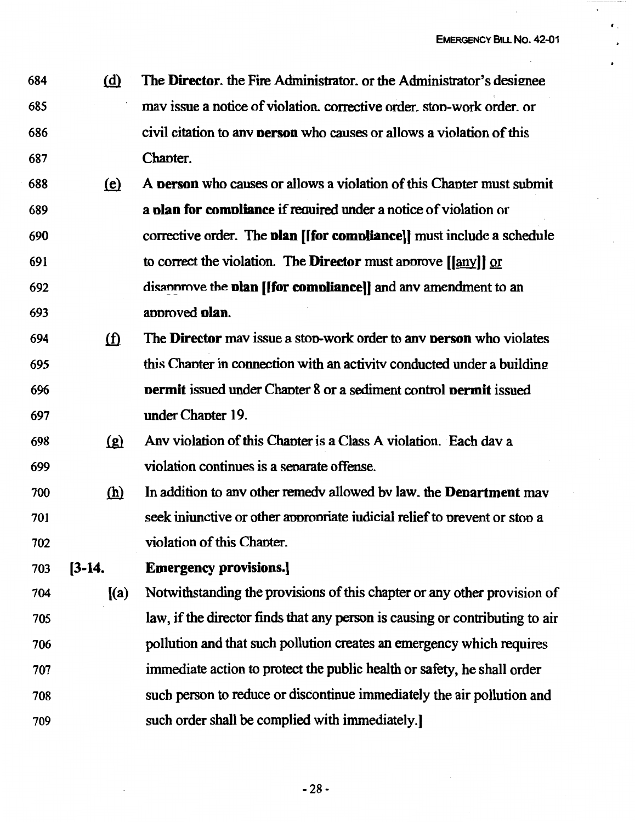684 @ The **Director.** the Fire Administrator. or the Administrator's desimee 685 mav issue a notice of violation. corrective order. ston-work order. or 686 civil citation to anv **nerson** who causes or allows a violation of this 687 Chanter.

- 688 tii} A **nerson** who causes or allows a violation of this Chanter must submit 689 a **nlan for comnliance** if reauired under a notice of violation or 690 691 692 corrective order. The **nlan ([for comnliancel]** must include a schedule to correct the violation. The **Director** must annrove [(any]] or disan prove the **plan [[for compliance]]** and any amendment to an 693 annroved **nlan.**
- 694 ill The **Director** mav issue a ston-work order to anv **nerson** who violates  $695$  this Chanter in connection with an activity conducted under a building 696 697 **nermit** issued under Chanter 8 or a sediment control **nermit** issued under Chanter 19.
- 698  $\left( \rho \right)$  Any violation of this Chapter is a Class A violation. Each dav a 699 violation continues is a senarate offense.
- 700 ® In addition to anv other remedv allowed bv law. the **Denartment** mav 701 702 seek injunctive or other appropriate judicial relief to prevent or stop a violation of this Chanter.
- 703 **[3-14. Emergency provisions.)**
- 704 [(a) Notwithstanding the provisions of this chapter or any other provision of 705 706 707 708 709 law, if the director finds that any person is causing or contributing to air pollution and that such pollution creates an emergency which requires immediate action to protect the public health or safety, he shall order such person to reduce or discontinue immediately the air pollution and such order shall be complied with immediately.]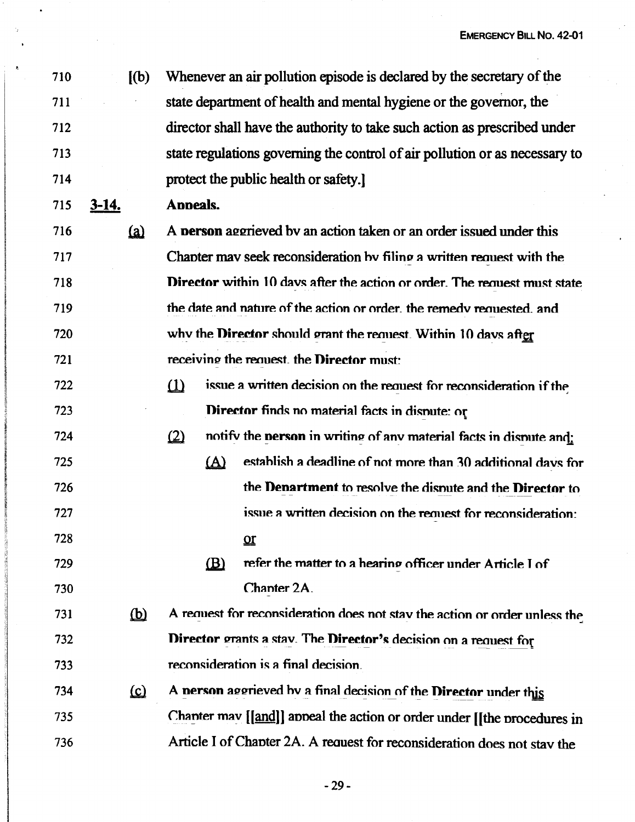710 [(b) 711 712 713 714 Whenever an air pollution episode is declared by the secretary of the state department of health and mental hygiene or the governor, the director shall have the authority to take such action as prescribed under state regulations governing the control of air pollution or as necessary to protect the public health or safety.)

715 **3-14. Anneals.** 

 $716$  (a) 717 718 719 720 721 A **person** aggrieved by an action taken or an order issued under this Chanter may seek reconsideration by filing a written request with the **Director** within 10 days after the action or order. The request must state the date and nature of the action or order, the remedy requested, and why the **Director** should grant the request. Within 10 days after receivino the reauest\_ the **Direetnr** must:

722 723  $\delta$  issue a written decision on the request for reconsideration if the **Director finds no material facts in dispute: or** 

724 725 726 727 728  $(2)$  notify the **nerson** in writing of any material facts in dispute and:  $(A)$  establish a deadline of not more than 30 additional davs for the **Denartment** to resolve the dimute and the **Direetnr** to issue a written decision on the request for reconsideration: .QI

- 729 730  $(B)$  refer the matter to a hearing officer under Article I of Chanter<sub>2A</sub>
- $731$  (b) 732 733 A request for reconsideration does not stay the action or order unless the **Director** grants a stav. The **Director's** decision on a request for reconsideration is a final decision\_
- 734 (c) 735 736 A nerson aggrieved hv a final decision of the **Director** under this Chanter may [[and]] anneal the action or order under [[the nrocedures in Article I of Chanter 2A. A reauest for reconsideration does not stav the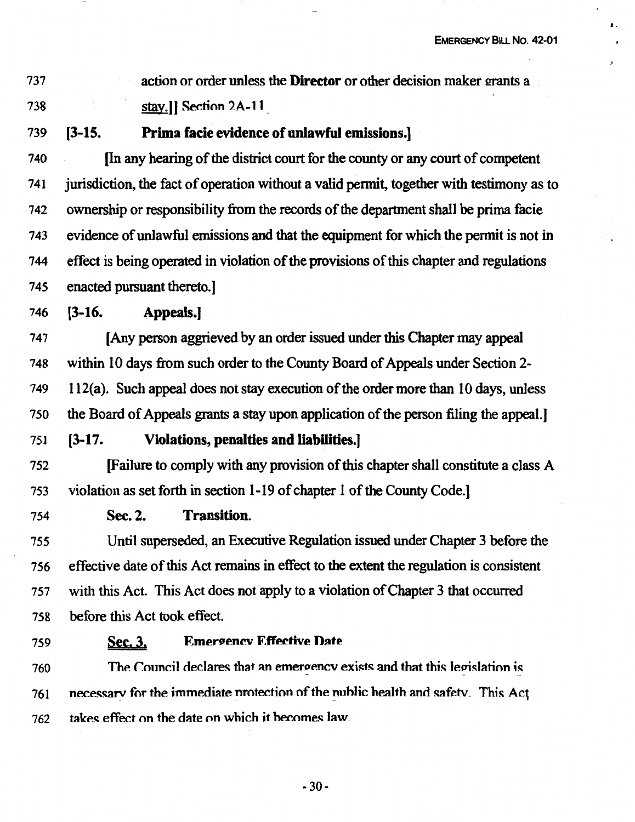•-

737 738 action or order unless the **Director** or other decision maker grants a stay.]] Section 2A-11

739 **(3-15. Prima facie evidence of unlawful emissions.]** 

740 (In any hearing of the district court for the county or any court of competent 741 jurisdiction, the fact of operation without a valid pennit, together with testimony as to 742 ownership or responsibility from the records of the department shall be prima facie 743 evidence of unlawful emissions and that the equipment for which the pennit is not in <sup>744</sup>effect is being operated in violation of the provisions of this chapter and regulations 745 enacted pursuant thereto.]

746 **(3-16. Appeals.]** 

747 (Any person aggrieved by an order issued under this Chapter may appeal 748 within 10 days from such order to the County Board of Appeals under Section 2- 749 112(a). Such appeal does not stay execution of the order more than 10 days, unless 750 the Board of Appeals grants a stay upon application of the person filing the appeal.]

751 **(3-17. Violations, penalties and liabilities.]** 

752 (Failure to comply with any provision of this chapter shall constitute a class A 753 violation as set forth in section 1-19 of chapter 1 of the County Code.]

754 **Sec. 2. Transition.** 

755 Until superseded, an Executive Regulation issued under Chapter 3 before the 756 effective date of this Act remains in effect to the extent the regulation is consistent 757 with this Act. This Act does not apply to a violation of Chapter 3 that occurred 7 58 before this Act took effect.

### 759 **Sec. 3. Emergency Effective Date**

760 The Council declares that an emergency exists and that this legislation is  $761$  necessary for the immediate protection of the public health and safety. This Act 762 takes effect on the date on which it hecomes Jaw\_